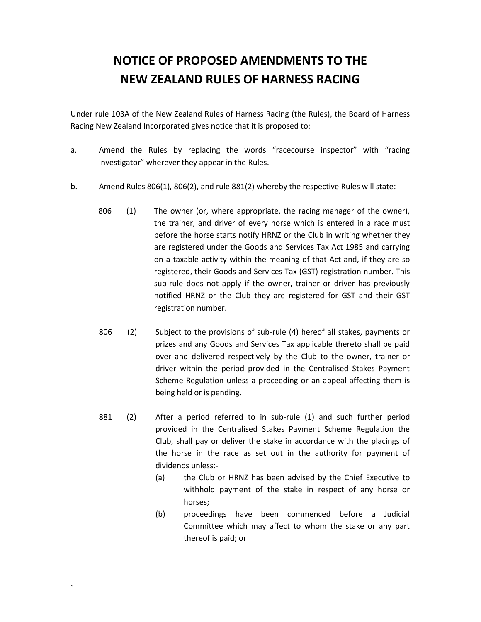## **NOTICE OF PROPOSED AMENDMENTS TO THE NEW ZEALAND RULES OF HARNESS RACING**

Under rule 103A of the New Zealand Rules of Harness Racing (the Rules), the Board of Harness Racing New Zealand Incorporated gives notice that it is proposed to:

- a. Amend the Rules by replacing the words "racecourse inspector" with "racing investigator" wherever they appear in the Rules.
- b. Amend Rules 806(1), 806(2), and rule 881(2) whereby the respective Rules will state:
	- 806 (1) The owner (or, where appropriate, the racing manager of the owner), the trainer, and driver of every horse which is entered in a race must before the horse starts notify HRNZ or the Club in writing whether they are registered under the Goods and Services Tax Act 1985 and carrying on a taxable activity within the meaning of that Act and, if they are so registered, their Goods and Services Tax (GST) registration number. This sub-rule does not apply if the owner, trainer or driver has previously notified HRNZ or the Club they are registered for GST and their GST registration number.
	- 806 (2) Subject to the provisions of sub-rule (4) hereof all stakes, payments or prizes and any Goods and Services Tax applicable thereto shall be paid over and delivered respectively by the Club to the owner, trainer or driver within the period provided in the Centralised Stakes Payment Scheme Regulation unless a proceeding or an appeal affecting them is being held or is pending.
	- 881 (2) After a period referred to in sub-rule (1) and such further period provided in the Centralised Stakes Payment Scheme Regulation the Club, shall pay or deliver the stake in accordance with the placings of the horse in the race as set out in the authority for payment of dividends unless:-

 $\sum_{i=1}^n \alpha_i$ 

- (a) the Club or HRNZ has been advised by the Chief Executive to withhold payment of the stake in respect of any horse or horses;
- (b) proceedings have been commenced before a Judicial Committee which may affect to whom the stake or any part thereof is paid; or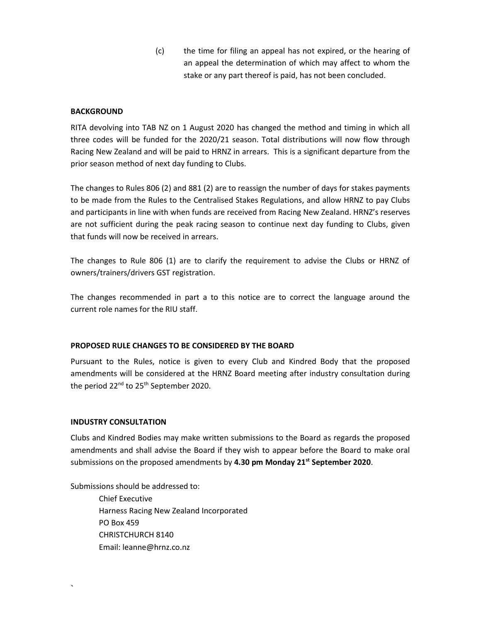(c) the time for filing an appeal has not expired, or the hearing of an appeal the determination of which may affect to whom the stake or any part thereof is paid, has not been concluded.

## **BACKGROUND**

RITA devolving into TAB NZ on 1 August 2020 has changed the method and timing in which all three codes will be funded for the 2020/21 season. Total distributions will now flow through Racing New Zealand and will be paid to HRNZ in arrears. This is a significant departure from the prior season method of next day funding to Clubs.

The changes to Rules 806 (2) and 881 (2) are to reassign the number of days for stakes payments to be made from the Rules to the Centralised Stakes Regulations, and allow HRNZ to pay Clubs and participants in line with when funds are received from Racing New Zealand. HRNZ's reserves are not sufficient during the peak racing season to continue next day funding to Clubs, given that funds will now be received in arrears.

The changes to Rule 806 (1) are to clarify the requirement to advise the Clubs or HRNZ of owners/trainers/drivers GST registration.

The changes recommended in part a to this notice are to correct the language around the current role names for the RIU staff.

## **PROPOSED RULE CHANGES TO BE CONSIDERED BY THE BOARD**

Pursuant to the Rules, notice is given to every Club and Kindred Body that the proposed amendments will be considered at the HRNZ Board meeting after industry consultation during the period 22<sup>nd</sup> to 25<sup>th</sup> September 2020.

## **INDUSTRY CONSULTATION**

 $\sum_{i=1}^n \alpha_i$ 

Clubs and Kindred Bodies may make written submissions to the Board as regards the proposed amendments and shall advise the Board if they wish to appear before the Board to make oral submissions on the proposed amendments by **4.30 pm Monday 21st September 2020**.

Submissions should be addressed to:

Chief Executive Harness Racing New Zealand Incorporated PO Box 459 CHRISTCHURCH 8140 Email: leanne@hrnz.co.nz